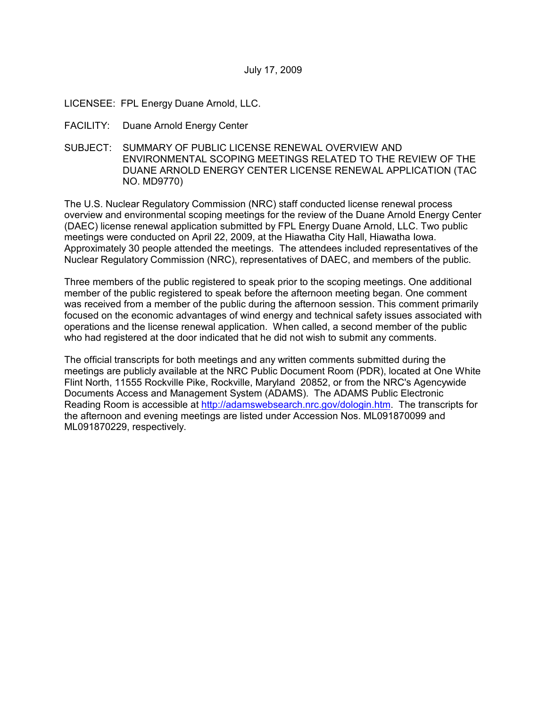- LICENSEE: FPL Energy Duane Arnold, LLC.
- FACILITY: Duane Arnold Energy Center
- SUBJECT: SUMMARY OF PUBLIC LICENSE RENEWAL OVERVIEW AND ENVIRONMENTAL SCOPING MEETINGS RELATED TO THE REVIEW OF THE DUANE ARNOLD ENERGY CENTER LICENSE RENEWAL APPLICATION (TAC NO. MD9770)

The U.S. Nuclear Regulatory Commission (NRC) staff conducted license renewal process overview and environmental scoping meetings for the review of the Duane Arnold Energy Center (DAEC) license renewal application submitted by FPL Energy Duane Arnold, LLC. Two public meetings were conducted on April 22, 2009, at the Hiawatha City Hall, Hiawatha Iowa. Approximately 30 people attended the meetings. The attendees included representatives of the Nuclear Regulatory Commission (NRC), representatives of DAEC, and members of the public.

Three members of the public registered to speak prior to the scoping meetings. One additional member of the public registered to speak before the afternoon meeting began. One comment was received from a member of the public during the afternoon session. This comment primarily focused on the economic advantages of wind energy and technical safety issues associated with operations and the license renewal application. When called, a second member of the public who had registered at the door indicated that he did not wish to submit any comments.

The official transcripts for both meetings and any written comments submitted during the meetings are publicly available at the NRC Public Document Room (PDR), located at One White Flint North, 11555 Rockville Pike, Rockville, Maryland 20852, or from the NRC's Agencywide Documents Access and Management System (ADAMS). The ADAMS Public Electronic Reading Room is accessible at http://adamswebsearch.nrc.gov/dologin.htm. The transcripts for the afternoon and evening meetings are listed under Accession Nos. ML091870099 and ML091870229, respectively.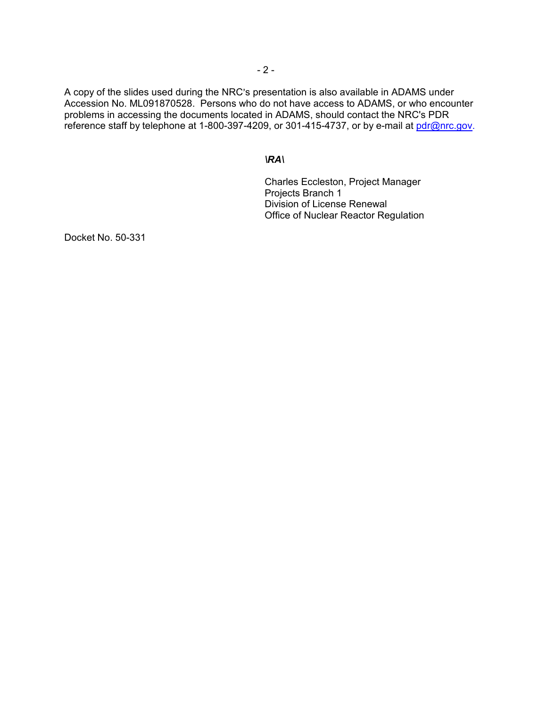A copy of the slides used during the NRC's presentation is also available in ADAMS under Accession No. ML091870528. Persons who do not have access to ADAMS, or who encounter problems in accessing the documents located in ADAMS, should contact the NRC's PDR reference staff by telephone at 1-800-397-4209, or 301-415-4737, or by e-mail at pdr@nrc.gov.

#### *\RA\*

Charles Eccleston, Project Manager Projects Branch 1 Division of License Renewal Office of Nuclear Reactor Regulation

Docket No. 50-331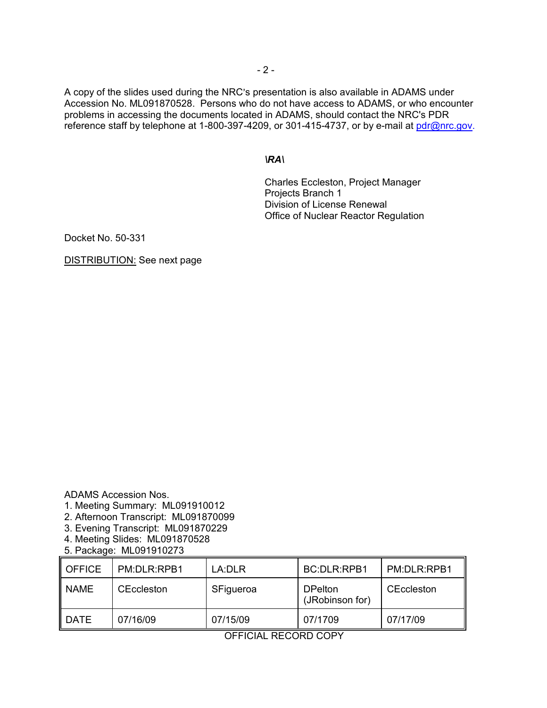A copy of the slides used during the NRC's presentation is also available in ADAMS under Accession No. ML091870528. Persons who do not have access to ADAMS, or who encounter problems in accessing the documents located in ADAMS, should contact the NRC's PDR reference staff by telephone at 1-800-397-4209, or 301-415-4737, or by e-mail at pdr@nrc.gov.

## *\RA\*

Charles Eccleston, Project Manager Projects Branch 1 Division of License Renewal Office of Nuclear Reactor Regulation

Docket No. 50-331

DISTRIBUTION: See next page

ADAMS Accession Nos.

- 1. Meeting Summary: ML091910012
- 2. Afternoon Transcript: ML091870099
- 3. Evening Transcript: ML091870229
- 4. Meeting Slides: ML091870528
- 5. Package: ML091910273

| <b>OFFICE</b> | PM:DLR:RPB1       | LA:DLR    | <b>BC:DLR:RPB1</b>                | PM:DLR:RPB1 |
|---------------|-------------------|-----------|-----------------------------------|-------------|
| <b>NAME</b>   | <b>CEccleston</b> | SFigueroa | <b>DPelton</b><br>(JRobinson for) | CEccleston  |
| DATE          | 07/16/09          | 07/15/09  | 07/1709                           | 07/17/09    |

OFFICIAL RECORD COPY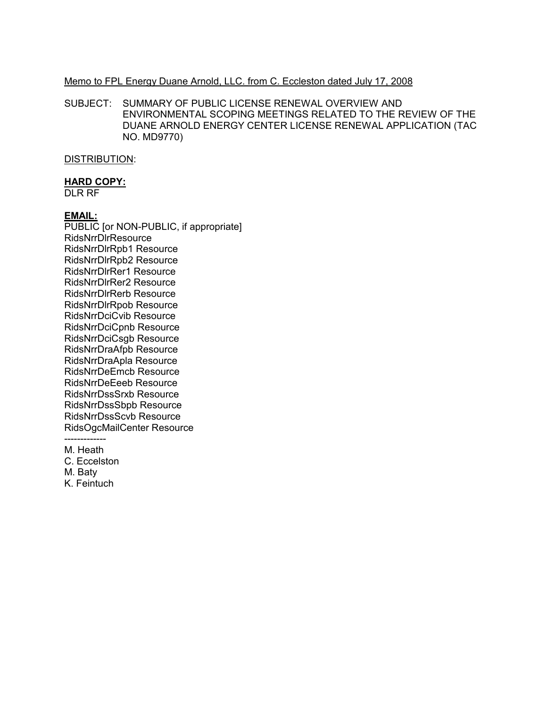#### Memo to FPL Energy Duane Arnold, LLC. from C. Eccleston dated July 17, 2008

SUBJECT: SUMMARY OF PUBLIC LICENSE RENEWAL OVERVIEW AND ENVIRONMENTAL SCOPING MEETINGS RELATED TO THE REVIEW OF THE DUANE ARNOLD ENERGY CENTER LICENSE RENEWAL APPLICATION (TAC NO. MD9770)

## DISTRIBUTION:

# **HARD COPY:**

DLR RF

## **EMAIL:**

PUBLIC [or NON-PUBLIC, if appropriate] RidsNrrDlrResource RidsNrrDlrRpb1 Resource RidsNrrDlrRpb2 Resource RidsNrrDlrRer1 Resource RidsNrrDlrRer2 Resource RidsNrrDlrRerb Resource RidsNrrDlrRpob Resource RidsNrrDciCvib Resource RidsNrrDciCpnb Resource RidsNrrDciCsgb Resource RidsNrrDraAfpb Resource RidsNrrDraApla Resource RidsNrrDeEmcb Resource RidsNrrDeEeeb Resource RidsNrrDssSrxb Resource RidsNrrDssSbpb Resource RidsNrrDssScvb Resource RidsOgcMailCenter Resource -------------

M. Heath

C. Eccelston

M. Baty

K. Feintuch